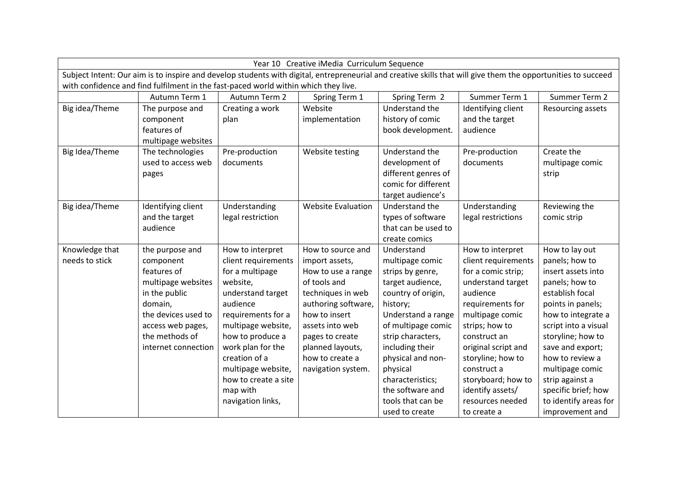| Year 10 Creative iMedia Curriculum Sequence                                                                                                                   |                     |                      |                           |                     |                     |                       |  |  |  |  |
|---------------------------------------------------------------------------------------------------------------------------------------------------------------|---------------------|----------------------|---------------------------|---------------------|---------------------|-----------------------|--|--|--|--|
| Subject Intent: Our aim is to inspire and develop students with digital, entrepreneurial and creative skills that will give them the opportunities to succeed |                     |                      |                           |                     |                     |                       |  |  |  |  |
| with confidence and find fulfilment in the fast-paced world within which they live.                                                                           |                     |                      |                           |                     |                     |                       |  |  |  |  |
|                                                                                                                                                               | Autumn Term 1       | Autumn Term 2        | Spring Term 1             | Spring Term 2       | Summer Term 1       | Summer Term 2         |  |  |  |  |
| Big idea/Theme                                                                                                                                                | The purpose and     | Creating a work      | Website                   | Understand the      | Identifying client  | Resourcing assets     |  |  |  |  |
|                                                                                                                                                               | component           | plan                 | implementation            | history of comic    | and the target      |                       |  |  |  |  |
|                                                                                                                                                               | features of         |                      |                           | book development.   | audience            |                       |  |  |  |  |
|                                                                                                                                                               | multipage websites  |                      |                           |                     |                     |                       |  |  |  |  |
| Big Idea/Theme                                                                                                                                                | The technologies    | Pre-production       | Website testing           | Understand the      | Pre-production      | Create the            |  |  |  |  |
|                                                                                                                                                               | used to access web  | documents            |                           | development of      | documents           | multipage comic       |  |  |  |  |
|                                                                                                                                                               | pages               |                      |                           | different genres of |                     | strip                 |  |  |  |  |
|                                                                                                                                                               |                     |                      |                           | comic for different |                     |                       |  |  |  |  |
|                                                                                                                                                               |                     |                      |                           | target audience's   |                     |                       |  |  |  |  |
| Big idea/Theme                                                                                                                                                | Identifying client  | Understanding        | <b>Website Evaluation</b> | Understand the      | Understanding       | Reviewing the         |  |  |  |  |
|                                                                                                                                                               | and the target      | legal restriction    |                           | types of software   | legal restrictions  | comic strip           |  |  |  |  |
|                                                                                                                                                               | audience            |                      |                           | that can be used to |                     |                       |  |  |  |  |
|                                                                                                                                                               |                     |                      |                           | create comics       |                     |                       |  |  |  |  |
| Knowledge that                                                                                                                                                | the purpose and     | How to interpret     | How to source and         | Understand          | How to interpret    | How to lay out        |  |  |  |  |
| needs to stick                                                                                                                                                | component           | client requirements  | import assets,            | multipage comic     | client requirements | panels; how to        |  |  |  |  |
|                                                                                                                                                               | features of         | for a multipage      | How to use a range        | strips by genre,    | for a comic strip;  | insert assets into    |  |  |  |  |
|                                                                                                                                                               | multipage websites  | website,             | of tools and              | target audience,    | understand target   | panels; how to        |  |  |  |  |
|                                                                                                                                                               | in the public       | understand target    | techniques in web         | country of origin,  | audience            | establish focal       |  |  |  |  |
|                                                                                                                                                               | domain,             | audience             | authoring software,       | history;            | requirements for    | points in panels;     |  |  |  |  |
|                                                                                                                                                               | the devices used to | requirements for a   | how to insert             | Understand a range  | multipage comic     | how to integrate a    |  |  |  |  |
|                                                                                                                                                               | access web pages,   | multipage website,   | assets into web           | of multipage comic  | strips; how to      | script into a visual  |  |  |  |  |
|                                                                                                                                                               | the methods of      | how to produce a     | pages to create           | strip characters,   | construct an        | storyline; how to     |  |  |  |  |
|                                                                                                                                                               | internet connection | work plan for the    | planned layouts,          | including their     | original script and | save and export;      |  |  |  |  |
|                                                                                                                                                               |                     | creation of a        | how to create a           | physical and non-   | storyline; how to   | how to review a       |  |  |  |  |
|                                                                                                                                                               |                     | multipage website,   | navigation system.        | physical            | construct a         | multipage comic       |  |  |  |  |
|                                                                                                                                                               |                     | how to create a site |                           | characteristics;    | storyboard; how to  | strip against a       |  |  |  |  |
|                                                                                                                                                               |                     | map with             |                           | the software and    | identify assets/    | specific brief; how   |  |  |  |  |
|                                                                                                                                                               |                     | navigation links,    |                           | tools that can be   | resources needed    | to identify areas for |  |  |  |  |
|                                                                                                                                                               |                     |                      |                           | used to create      | to create a         | improvement and       |  |  |  |  |